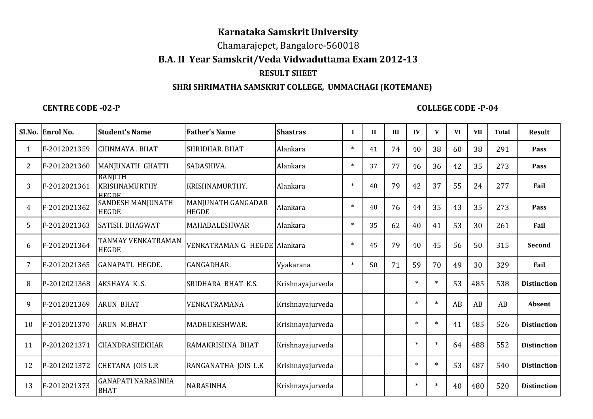# **Karnataka Samskrit University**

Chamarajepet, Bangalore-560018

### **B.A. II Year Samskrit/Veda Vidwaduttama Exam 2012-13**

## **RESULT SHEET**

### **SHRI SHRIMATHA SAMSKRIT COLLEGE, UMMACHAGI (KOTEMANE)**

#### **CENTRE CODE -02-P**

#### **COLLEGE CODE -P-04**

|    | Sl.No. Enrol No. | <b>Student's Name</b>                           | <b>Father's Name</b>               | <b>Shastras</b>  | $\mathbf{I}$ | $\mathbf{I}$ | III | IV     | $\mathbf{V}$ | <b>VI</b> | <b>VII</b> | <b>Total</b> | <b>Result</b>      |
|----|------------------|-------------------------------------------------|------------------------------------|------------------|--------------|--------------|-----|--------|--------------|-----------|------------|--------------|--------------------|
|    | F-2012021359     | CHINMAYA. BHAT                                  | SHRIDHAR. BHAT                     | Alankara         | $\ast$       | 41           | 74  | 40     | 38           | 60        | 38         | 291          | Pass               |
| 2  | F-2012021360     | MANJUNATH GHATTI                                | SADASHIVA.                         | Alankara         | $\ast$       | 37           | 77  | 46     | 36           | 42        | 35         | 273          | Pass               |
| 3  | F-2012021361     | RANJITH<br><b>KRISHNAMURTHY</b><br><b>HEGDE</b> | KRISHNAMURTHY.                     | Alankara         | $\ast$       | 40           | 79  | 42     | 37           | 55        | 24         | 277          | Fail               |
| 4  | F-2012021362     | SANDESH MANJUNATH<br><b>HEGDE</b>               | MANJUNATH GANGADAR<br><b>HEGDE</b> | Alankara         | $\ast$       | 40           | 76  | 44     | 35           | 43        | 35         | 273          | Pass               |
| 5. | F-2012021363     | SATISH, BHAGWAT                                 | MAHABALESHWAR                      | Alankara         | $\ast$       | 35           | 62  | 40     | 41           | 53        | 30         | 261          | Fail               |
| 6  | F-2012021364     | TANMAY VENKATRAMAN<br><b>HEGDE</b>              | VENKATRAMAN G. HEGDE Alankara      |                  | $\ast$       | 45           | 79  | 40     | 45           | 56        | 50         | 315          | Second             |
| 7  | F-2012021365     | GANAPATI. HEGDE.                                | GANGADHAR.                         | Vyakarana        | $\ast$       | 50           | 71  | 59     | 70           | 49        | 30         | 329          | Fail               |
| 8  | P-2012021368     | AKSHAYA K.S.                                    | SRIDHARA BHAT K.S.                 | Krishnayajurveda |              |              |     | $\ast$ | $\ast$       | 53        | 485        | 538          | <b>Distinction</b> |
| 9  | F-2012021369     | <b>ARUN BHAT</b>                                | VENKATRAMANA                       | Krishnayajurveda |              |              |     | $\ast$ | $\ast$       | AB        | AB         | AB           | <b>Absent</b>      |
| 10 | F-2012021370     | <b>ARUN M.BHAT</b>                              | MADHUKESHWAR.                      | Krishnayajurveda |              |              |     | $\ast$ | $\ast$       | 41        | 485        | 526          | <b>Distinction</b> |
| 11 | P-2012021371     | CHANDRASHEKHAR                                  | RAMAKRISHNA BHAT                   | Krishnayajurveda |              |              |     | $\ast$ | $\ast$       | 64        | 488        | 552          | <b>Distinction</b> |
| 12 | P-2012021372     | <b>CHETANA JOIS L.R</b>                         | RANGANATHA JOIS L.K                | Krishnayajurveda |              |              |     | $\ast$ | $\ast$       | 53        | 487        | 540          | <b>Distinction</b> |
| 13 | F-2012021373     | <b>GANAPATI NARASINHA</b><br><b>BHAT</b>        | NARASINHA                          | Krishnayajurveda |              |              |     | $\ast$ | $\star$      | 40        | 480        | 520          | <b>Distinction</b> |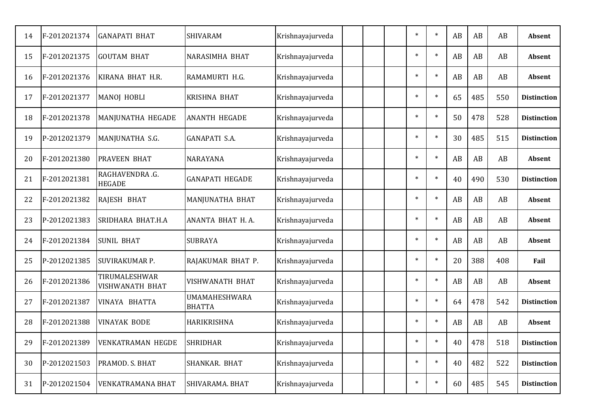| 14 | F-2012021374 | <b>GANAPATI BHAT</b>             | <b>SHIVARAM</b>                | Krishnayajurveda |  | $\ast$ | $\ast$  | AB | AB  | AB  | Absent             |
|----|--------------|----------------------------------|--------------------------------|------------------|--|--------|---------|----|-----|-----|--------------------|
| 15 | F-2012021375 | <b>GOUTAM BHAT</b>               | NARASIMHA BHAT                 | Krishnayajurveda |  | $\ast$ | $\ast$  | AB | AB  | AB  | Absent             |
| 16 | F-2012021376 | KIRANA BHAT H.R.                 | RAMAMURTI H.G.                 | Krishnayajurveda |  | $\ast$ | $\ast$  | AB | AB  | AB  | Absent             |
| 17 | F-2012021377 | <b>MANOJ HOBLI</b>               | <b>KRISHNA BHAT</b>            | Krishnayajurveda |  | $\ast$ | $\ast$  | 65 | 485 | 550 | <b>Distinction</b> |
| 18 | F-2012021378 | MANJUNATHA HEGADE                | <b>ANANTH HEGADE</b>           | Krishnayajurveda |  | $\ast$ | $\ast$  | 50 | 478 | 528 | <b>Distinction</b> |
| 19 | P-2012021379 | MANJUNATHA S.G.                  | <b>GANAPATI S.A.</b>           | Krishnayajurveda |  | $\ast$ | $\star$ | 30 | 485 | 515 | <b>Distinction</b> |
| 20 | F-2012021380 | <b>PRAVEEN BHAT</b>              | <b>NARAYANA</b>                | Krishnayajurveda |  | $\ast$ | $\ast$  | AB | AB  | AB  | Absent             |
| 21 | F-2012021381 | RAGHAVENDRA.G.<br><b>HEGADE</b>  | <b>GANAPATI HEGADE</b>         | Krishnayajurveda |  | $\ast$ | $\ast$  | 40 | 490 | 530 | <b>Distinction</b> |
| 22 | F-2012021382 | RAJESH BHAT                      | MANJUNATHA BHAT                | Krishnayajurveda |  | $\ast$ | $\ast$  | AB | AB  | AB  | <b>Absent</b>      |
| 23 | P-2012021383 | SRIDHARA BHAT.H.A                | ANANTA BHAT H.A.               | Krishnayajurveda |  | $\ast$ | $\ast$  | AB | AB  | AB  | Absent             |
| 24 | F-2012021384 | <b>SUNIL BHAT</b>                | <b>SUBRAYA</b>                 | Krishnayajurveda |  | $\ast$ | $\ast$  | AB | AB  | AB  | Absent             |
| 25 | P-2012021385 | SUVIRAKUMAR P.                   | RAJAKUMAR BHAT P.              | Krishnayajurveda |  | $\ast$ | $\ast$  | 20 | 388 | 408 | Fail               |
| 26 | F-2012021386 | TIRUMALESHWAR<br>VISHWANATH BHAT | VISHWANATH BHAT                | Krishnayajurveda |  | $\ast$ | $\ast$  | AB | AB  | AB  | Absent             |
| 27 | F-2012021387 | VINAYA BHATTA                    | UMAMAHESHWARA<br><b>BHATTA</b> | Krishnayajurveda |  | $\ast$ | $\ast$  | 64 | 478 | 542 | <b>Distinction</b> |
| 28 | F-2012021388 | <b>VINAYAK BODE</b>              | HARIKRISHNA                    | Krishnayajurveda |  | $\ast$ | $\ast$  | AB | AB  | AB  | Absent             |
| 29 | F-2012021389 | <b>VENKATRAMAN HEGDE</b>         | <b>SHRIDHAR</b>                | Krishnayajurveda |  | $\ast$ |         | 40 | 478 | 518 | <b>Distinction</b> |
| 30 | P-2012021503 | PRAMOD. S. BHAT                  | SHANKAR. BHAT                  | Krishnayajurveda |  | $\ast$ | $\ast$  | 40 | 482 | 522 | <b>Distinction</b> |
| 31 | P-2012021504 | VENKATRAMANA BHAT                | SHIVARAMA. BHAT                | Krishnayajurveda |  | $\ast$ | $\ast$  | 60 | 485 | 545 | <b>Distinction</b> |